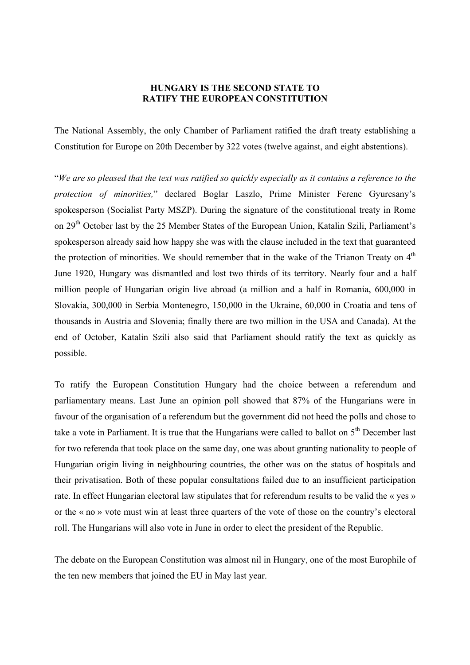## **HUNGARY IS THE SECOND STATE TO RATIFY THE EUROPEAN CONSTITUTION**

The National Assembly, the only Chamber of Parliament ratified the draft treaty establishing a Constitution for Europe on 20th December by 322 votes (twelve against, and eight abstentions).

"*We are so pleased that the text was ratified so quickly especially as it contains a reference to the protection of minorities,*" declared Boglar Laszlo, Prime Minister Ferenc Gyurcsany's spokesperson (Socialist Party MSZP). During the signature of the constitutional treaty in Rome on 29<sup>th</sup> October last by the 25 Member States of the European Union, Katalin Szili, Parliament's spokesperson already said how happy she was with the clause included in the text that guaranteed the protection of minorities. We should remember that in the wake of the Trianon Treaty on  $4<sup>th</sup>$ June 1920, Hungary was dismantled and lost two thirds of its territory. Nearly four and a half million people of Hungarian origin live abroad (a million and a half in Romania, 600,000 in Slovakia, 300,000 in Serbia Montenegro, 150,000 in the Ukraine, 60,000 in Croatia and tens of thousands in Austria and Slovenia; finally there are two million in the USA and Canada). At the end of October, Katalin Szili also said that Parliament should ratify the text as quickly as possible.

To ratify the European Constitution Hungary had the choice between a referendum and parliamentary means. Last June an opinion poll showed that 87% of the Hungarians were in favour of the organisation of a referendum but the government did not heed the polls and chose to take a vote in Parliament. It is true that the Hungarians were called to ballot on  $5<sup>th</sup>$  December last for two referenda that took place on the same day, one was about granting nationality to people of Hungarian origin living in neighbouring countries, the other was on the status of hospitals and their privatisation. Both of these popular consultations failed due to an insufficient participation rate. In effect Hungarian electoral law stipulates that for referendum results to be valid the « yes » or the « no » vote must win at least three quarters of the vote of those on the country's electoral roll. The Hungarians will also vote in June in order to elect the president of the Republic.

The debate on the European Constitution was almost nil in Hungary, one of the most Europhile of the ten new members that joined the EU in May last year.